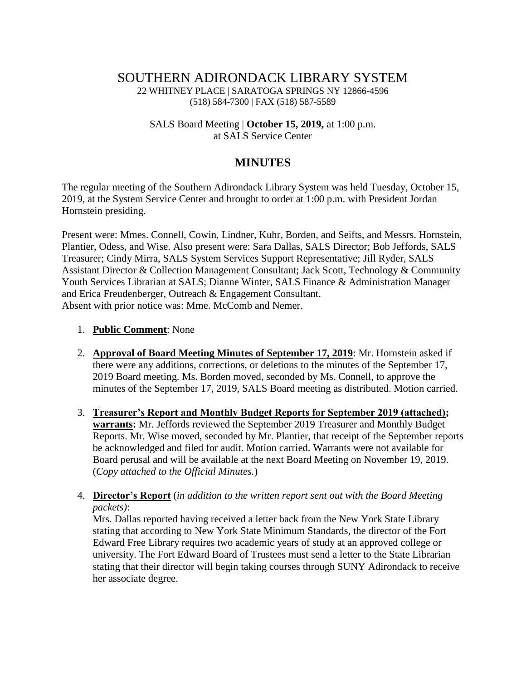## SOUTHERN ADIRONDACK LIBRARY SYSTEM 22 WHITNEY PLACE | SARATOGA SPRINGS NY 12866-4596 (518) 584-7300 | FAX (518) 587-5589

#### SALS Board Meeting | **October 15, 2019,** at 1:00 p.m. at SALS Service Center

# **MINUTES**

The regular meeting of the Southern Adirondack Library System was held Tuesday, October 15, 2019, at the System Service Center and brought to order at 1:00 p.m. with President Jordan Hornstein presiding.

Present were: Mmes. Connell, Cowin, Lindner, Kuhr, Borden, and Seifts, and Messrs. Hornstein, Plantier, Odess, and Wise. Also present were: Sara Dallas, SALS Director; Bob Jeffords, SALS Treasurer; Cindy Mirra, SALS System Services Support Representative; Jill Ryder, SALS Assistant Director & Collection Management Consultant; Jack Scott, Technology & Community Youth Services Librarian at SALS; Dianne Winter, SALS Finance & Administration Manager and Erica Freudenberger, Outreach & Engagement Consultant. Absent with prior notice was: Mme. McComb and Nemer.

#### 1. **Public Comment**: None

- 2. **Approval of Board Meeting Minutes of September 17, 2019**: Mr. Hornstein asked if there were any additions, corrections, or deletions to the minutes of the September 17, 2019 Board meeting. Ms. Borden moved, seconded by Ms. Connell, to approve the minutes of the September 17, 2019, SALS Board meeting as distributed. Motion carried.
- 3. **Treasurer's Report and Monthly Budget Reports for September 2019 (attached); warrants:** Mr. Jeffords reviewed the September 2019 Treasurer and Monthly Budget Reports. Mr. Wise moved, seconded by Mr. Plantier, that receipt of the September reports be acknowledged and filed for audit. Motion carried. Warrants were not available for Board perusal and will be available at the next Board Meeting on November 19, 2019. (*Copy attached to the Official Minutes.*)
- 4. **Director's Report** (*in addition to the written report sent out with the Board Meeting packets)*:

Mrs. Dallas reported having received a letter back from the New York State Library stating that according to New York State Minimum Standards, the director of the Fort Edward Free Library requires two academic years of study at an approved college or university. The Fort Edward Board of Trustees must send a letter to the State Librarian stating that their director will begin taking courses through SUNY Adirondack to receive her associate degree.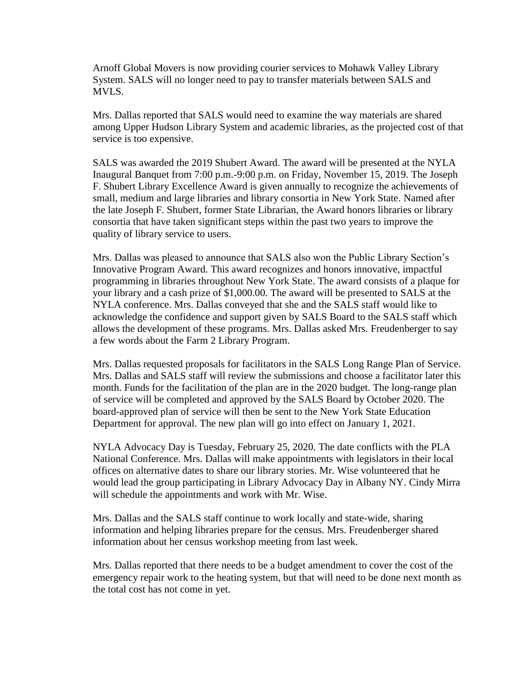Arnoff Global Movers is now providing courier services to Mohawk Valley Library System. SALS will no longer need to pay to transfer materials between SALS and MVLS.

Mrs. Dallas reported that SALS would need to examine the way materials are shared among Upper Hudson Library System and academic libraries, as the projected cost of that service is too expensive.

SALS was awarded the 2019 Shubert Award. The award will be presented at the NYLA Inaugural Banquet from 7:00 p.m.-9:00 p.m. on Friday, November 15, 2019. The Joseph F. Shubert Library Excellence Award is given annually to recognize the achievements of small, medium and large libraries and library consortia in New York State. Named after the late Joseph F. Shubert, former State Librarian, the Award honors libraries or library consortia that have taken significant steps within the past two years to improve the quality of library service to users.

Mrs. Dallas was pleased to announce that SALS also won the Public Library Section's Innovative Program Award. This award recognizes and honors innovative, impactful programming in libraries throughout New York State. The award consists of a plaque for your library and a cash prize of \$1,000.00. The award will be presented to SALS at the NYLA conference. Mrs. Dallas conveyed that she and the SALS staff would like to acknowledge the confidence and support given by SALS Board to the SALS staff which allows the development of these programs. Mrs. Dallas asked Mrs. Freudenberger to say a few words about the Farm 2 Library Program.

Mrs. Dallas requested proposals for facilitators in the SALS Long Range Plan of Service. Mrs. Dallas and SALS staff will review the submissions and choose a facilitator later this month. Funds for the facilitation of the plan are in the 2020 budget. The long-range plan of service will be completed and approved by the SALS Board by October 2020. The board-approved plan of service will then be sent to the New York State Education Department for approval. The new plan will go into effect on January 1, 2021.

NYLA Advocacy Day is Tuesday, February 25, 2020. The date conflicts with the PLA National Conference. Mrs. Dallas will make appointments with legislators in their local offices on alternative dates to share our library stories. Mr. Wise volunteered that he would lead the group participating in Library Advocacy Day in Albany NY. Cindy Mirra will schedule the appointments and work with Mr. Wise.

Mrs. Dallas and the SALS staff continue to work locally and state-wide, sharing information and helping libraries prepare for the census. Mrs. Freudenberger shared information about her census workshop meeting from last week.

Mrs. Dallas reported that there needs to be a budget amendment to cover the cost of the emergency repair work to the heating system, but that will need to be done next month as the total cost has not come in yet.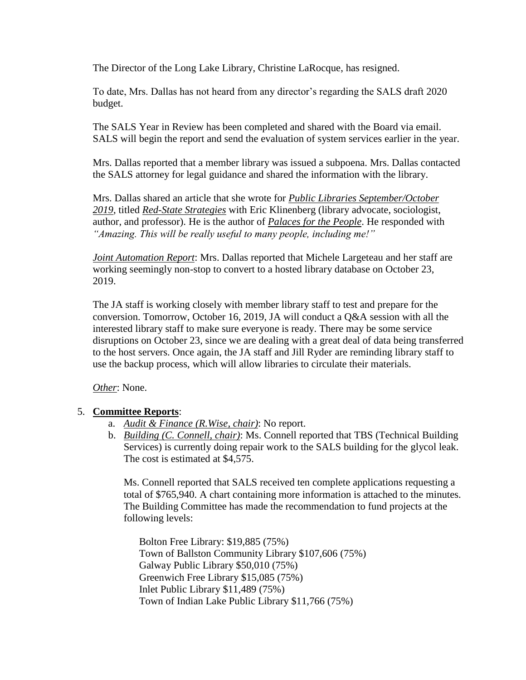The Director of the Long Lake Library, Christine LaRocque, has resigned.

To date, Mrs. Dallas has not heard from any director's regarding the SALS draft 2020 budget.

The SALS Year in Review has been completed and shared with the Board via email. SALS will begin the report and send the evaluation of system services earlier in the year.

Mrs. Dallas reported that a member library was issued a subpoena. Mrs. Dallas contacted the SALS attorney for legal guidance and shared the information with the library.

Mrs. Dallas shared an article that she wrote for *Public Libraries September/October 2019*, titled *Red-State Strategies* with Eric Klinenberg (library advocate, sociologist, author, and professor). He is the author of *Palaces for the People*. He responded with *"Amazing. This will be really useful to many people, including me!"*

*Joint Automation Report*: Mrs. Dallas reported that Michele Largeteau and her staff are working seemingly non-stop to convert to a hosted library database on October 23, 2019.

The JA staff is working closely with member library staff to test and prepare for the conversion. Tomorrow, October 16, 2019, JA will conduct a Q&A session with all the interested library staff to make sure everyone is ready. There may be some service disruptions on October 23, since we are dealing with a great deal of data being transferred to the host servers. Once again, the JA staff and Jill Ryder are reminding library staff to use the backup process, which will allow libraries to circulate their materials.

*Other*: None.

#### 5. **Committee Reports**:

- a. *Audit & Finance (R.Wise, chair)*: No report.
- b. *Building (C. Connell, chair)*: Ms. Connell reported that TBS (Technical Building Services) is currently doing repair work to the SALS building for the glycol leak. The cost is estimated at \$4,575.

Ms. Connell reported that SALS received ten complete applications requesting a total of \$765,940. A chart containing more information is attached to the minutes. The Building Committee has made the recommendation to fund projects at the following levels:

Bolton Free Library: \$19,885 (75%) Town of Ballston Community Library \$107,606 (75%) Galway Public Library \$50,010 (75%) Greenwich Free Library \$15,085 (75%) Inlet Public Library \$11,489 (75%) Town of Indian Lake Public Library \$11,766 (75%)